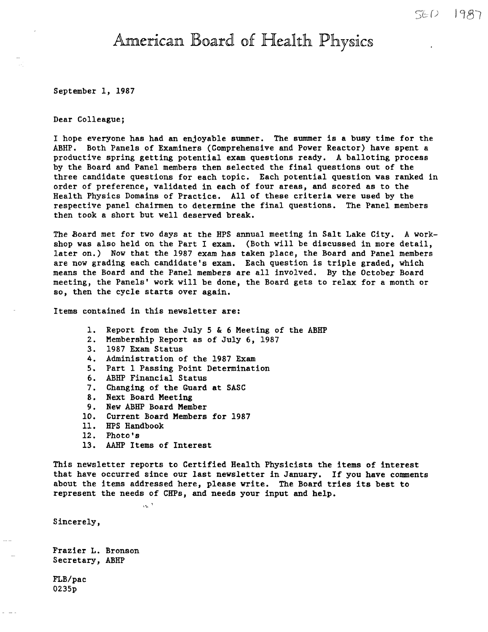# American Board of Health Physics

September 1, 1987

Dear Colleague;

I hope everyone has had an enjoyable summer. The summer is a busy time for the ABHP. Both Panels of Examiners (Comprehensive and Power Reactor) have spent a productive spring getting potential exam questions ready. A balloting process by the Board and Panel members then selected the final questions out of the three candidate questions for each topic. Each potential question was ranked in order of preference, validated in each of four areas, and scored as to the Health Physics Domains of Practice. All of these criteria were used by the respective panel chairmen to determine the final questions. The Panel members then took a short but well deserved break.

The Board met for two days at the HPS annual meeting in Salt Lake City. A workshop was also held on the Part I exam. (Both will be discussed in more detail, later on.) Now that the 1987 exam has taken place, the Board and Panel members are now grading each candidate's exam. Each question is triple graded, which means the Board and the Panel members are all involved. By the October Board meeting, the Panels' work will be done, the Board gets to relax for a month or so, then the cycle starts over **again.** 

Items contained in this newsletter **are:** 

- 1. Report from the July 5 & 6 Meeting of the ABHP
- 2. Membership Report as of July 6, 1987
- 3. 1987 Exam Status
- 4. Administration of the 1987 Exam
- 5. Part 1 Passing Point Determination
- 6. ABHP Financial Status
- 7. Changing of the Guard at SASC
- 8. Next Board Meeting
- 9. New ABHP Board Member
- 10. Current Board Members for 1987
- 11. HPS Handbook
- 12. Photo's
- 13. AAHP Items of Interest

 $\alpha_0$ 

This newsletter reports to Certified Health Physicists the items of interest that have occurred since our last newsletter in January. If you **have** comments about the items addressed here, please write. The Board tries its best to represent the needs of CHPs, and needs your input and help.

Sincerely,

Frazier L. Bronson Secretary, ABHP

FLB/pac 0235p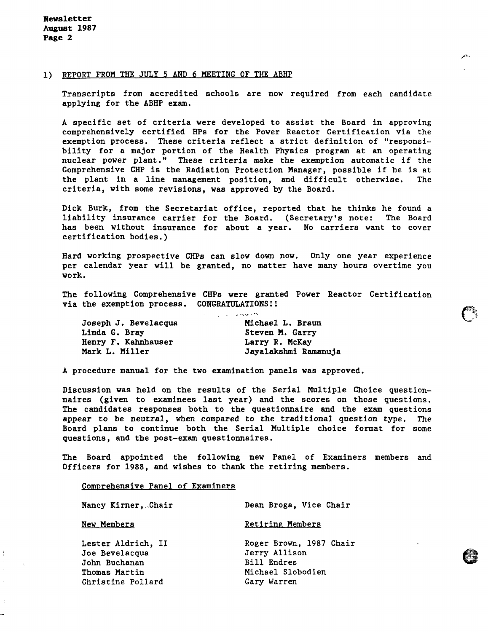#### 1) REPORT FROM THE JULY 5 AND 6 MEETING OF THE ABHP

Transcripts from accredited schools are now required from each candidate applying for the ABHP exam.

A specific set of criteria were developed to assist the Board in approving comprehensively certified HPs for the Power Reactor Certification via the exemption process. These criteria reflect a strict definition of "responsibility for a major portion of the Health Physics program at an operating nuclear power plant." These criteria make the exemption automatic if the Comprehensive CHP is the Radiation Protection Manager, possible if he is at the plant in a line management position, and difficult otherwise, The criteria, with some revisions, was approved by the Board.

Dick Burk, from the Secretariat office, reported that he thinks he found a liability insurance carrier for the Board. (Secretary's note: The Board has been without insurance for about a year. No carriers want to cover certification bodies.)

Hard working prospective CHPs can slow down now. Only one year experience per calendar year will be granted, no matter have many hours overtime you work.

The following Comprehensive CHPs were granted Power Reactor Certification via the exemption process. CONGRATULATIONS!!

| Joseph J. Bevelacqua | Michael L. Braun     |
|----------------------|----------------------|
| Linda G. Bray        | Steven M. Garry      |
| Henry F. Kahnhauser  | Larry R. McKay       |
| Mark L. Miller       | Jayalakshmi Ramanuja |

A procedure manual for the two examination panels was approved.

Discussion was held on the results of the Serial Multiple Choice questionnaires (given to examinees last year) and the scores on those questions. The candidates responses both to the questionnaire and the exam questions appear to be neutral, when compared to the traditional question type. The Board plans to continue both the Serial Multiple choice format for some questions, and the post-exam questionnaires.

The Board appointed the following new Panel of Examiners members and Officers for 1988, and wishes to thank the retiring members.

Comprehensive Panel of Examiners

F.

 $\frac{1}{2}$ 

| Nancy Kirner, Chair                                                                         | Dean Broga, Vice Chair                                                                             |
|---------------------------------------------------------------------------------------------|----------------------------------------------------------------------------------------------------|
| New Members                                                                                 | <b>Retiring Members</b>                                                                            |
| Lester Aldrich, II<br>Joe Bevelacqua<br>John Buchanan<br>Thomas Martin<br>Christine Pollard | Roger Brown, 1987 Chair<br>Jerry Allison<br><b>Bill Endres</b><br>Michael Slobodien<br>Gary Warren |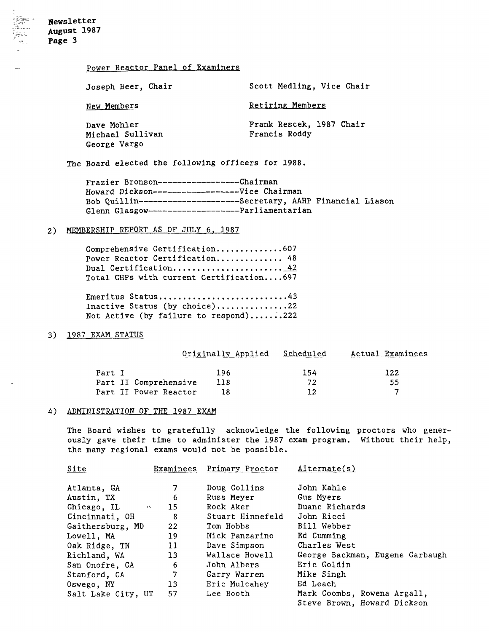# Power Reactor Panel of Examiners

| Joseph Beer, Chair                              | Scott Medling, Vice Chair                 |
|-------------------------------------------------|-------------------------------------------|
| New Members                                     | Retiring Members                          |
| Dave Mohler<br>Michael Sullivan<br>George Vargo | Frank Rescek, 1987 Chair<br>Francis Roddy |

The Board elected the following officers for 1988.

| Frazier Bronson-------------------Chairman          |                                                                   |
|-----------------------------------------------------|-------------------------------------------------------------------|
| Howard Dickson--------------------Vice Chairman     |                                                                   |
|                                                     | Bob Quillin----------------------Secretary, AAHP Financial Liason |
| Glenn Glasgow-----------------------Parliamentarian |                                                                   |

## 2) MEMBERSHIP REPORT AS OF JULY 6, 1987

| Comprehensive Certification607           |  |
|------------------------------------------|--|
| Power Reactor Certification 48           |  |
| Dual Certification 42                    |  |
| Total CHPs with current Certification697 |  |

**Emeritus Status ........................... 43**  Inactive Status (by choice)...............22 Not Active (by failure to respond).......222

# 3) 1987 EXAM STATUS

|                       | Originally Applied | Scheduled | Actual Examinees |
|-----------------------|--------------------|-----------|------------------|
| Part I                | 196                | 154       | 122              |
| Part II Comprehensive | 118                | 72        | 55               |
| Part II Power Reactor | 18                 | າາ        |                  |

## 4) ADMINISTRATION OF THE 1987 EXAM

The Board wishes to gratefully acknowledge the following proctors who generously gave their time to administer the 1987 exam program. Without their help, the many regional exams would not be possible.

| Site                           |                   | Examinees Primary Proctor | Alternate(s)                    |
|--------------------------------|-------------------|---------------------------|---------------------------------|
| Atlanta, GA                    |                   | Doug Collins              | John Kahle                      |
| Austin, TX                     | 6                 | Russ Meyer                | Gus Myers                       |
| Chicago, IL<br>$\Delta$ $\sim$ | 15 <sub>1</sub>   | Rock Aker                 | Duane Richards                  |
| Cincinnati, OH                 | 8                 | Stuart Hinnefeld          | John Ricci                      |
| Gaithersburg, MD               | $22 \overline{ }$ | Tom Hobbs                 | Bill Webber                     |
| Lowell, MA                     | 19                | Nick Panzarino            | Ed Cumming                      |
| Oak Ridge, TN                  | 11                | Dave Simpson              | Charles West                    |
| Richland, WA                   | 13 <sup>°</sup>   | Wallace Howell            | George Backman, Eugene Carbaugh |
| San Onofre, CA                 | 6                 | John Albers               | Eric Goldin                     |
| Stanford, CA                   | 7                 | Garry Warren              | Mike Singh                      |
| Oswego, NY                     | $13 \,$           | Eric Mulcahey             | Ed Leach                        |
| Salt Lake City, UT             | 57                | Lee Booth                 | Mark Coombs, Rowena Argall,     |
|                                |                   |                           | Steve Brown, Howard Dickson     |

i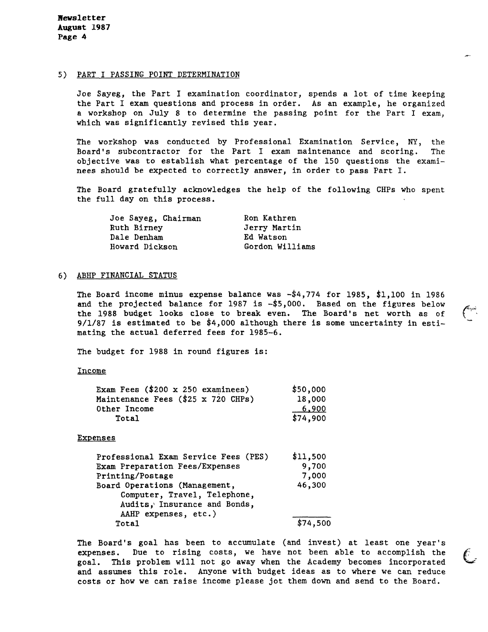**Jtewsletter August 1987 Page 4** 

#### 5) PART I PASSING POINT DETERMINATION

Joe Sayeg, the Part I examination coordinator, spends a lot of time keeping the Part I exam questions and process in order. As an example, he organized a workshop on July 8 to determine the passing point for the Part I exam, which was significantly revised this year.

The workshop was conducted by Professional Examination Service, NY, the Board's subcontractor for the Part I exam maintenance and scoring. The objective was to establish what percentage of the 150 questions the examinees should be expected to correctly answer, in order to pass Part I.

The Board gratefully acknowledges the help of the following CHPs who spent the full day on this process.

| Joe Sayeg, Chairman | Ron Kathren     |
|---------------------|-----------------|
| Ruth Birney         | Jerry Martin    |
| Dale Denham         | Ed Watson       |
| Howard Dickson      | Gordon Williams |

# 6) ABHP FINANCIAL STATUS

The Board income minus expense balance was -\$4,774 for 1985, \$1,100 in 1986 and the projected balance for 1987 is -\$5,000. Based on the figures below the 1988 budget looks close to break even. The Board's net worth as of 9/1/87 is estimated to be \$4,000 although there is some uncertainty in estimating the actual deferred fees for 1985-6.

The budget for 1988 in round figures is:

Income

| Exam Fees $($200 \times 250$ examinees) | \$50,000 |
|-----------------------------------------|----------|
| Maintenance Fees (\$25 x 720 CHPs)      | 18,000   |
| Other Income                            | 6,900    |
| Total                                   | \$74,900 |

**Expenses** 

| Professional Exam Service Fees (PES) | \$11,500 |
|--------------------------------------|----------|
| Exam Preparation Fees/Expenses       | 9,700    |
| Printing/Postage                     | 7,000    |
| Board Operations (Management,        | 46,300   |
| Computer, Travel, Telephone,         |          |
| Audits, Insurance and Bonds,         |          |
| AAHP expenses, etc.)                 |          |
| Total                                | \$74,500 |

The Board's goal has been to accumulate (and invest) at least one year's expenses. Due to rising costs, we have not been able to accomplish the goal. This problem will not go away when the Academy becomes incorporated and assumes this role. Anyone with budget ideas as to where we can reduce costs or how we can raise income please jot them down and send to the Board.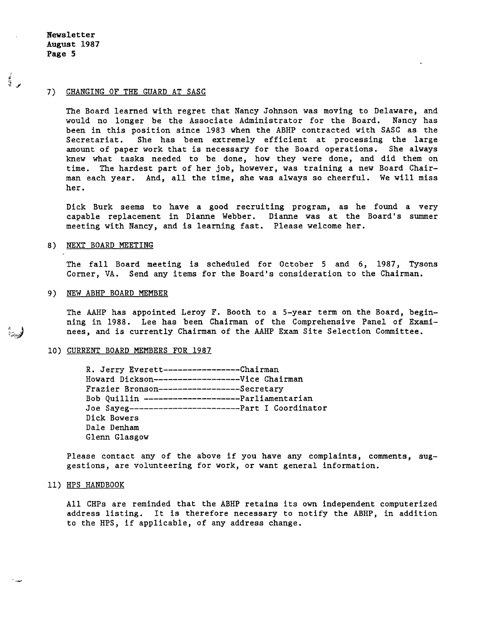**Newsletter August 1987 Page 5** 

ल्या<br>व

# 7) CHANGING OF THE GUARD AT SASC

The Board learned with regret that Nancy Johnson was moving to Delaware, and would no longer be the Associate Administrator for the Board. Nancy has been in this position since 1983 when the ABHP contracted with SASC as the Secretariat. She has been extremely efficient at processing the large amount of paper work that is necessary for the Board operations. She always knew what tasks needed to be done, how they were done, and did them on time. The hardest part of her job, however, was training a new Board Chairman each year. And, all the time, she was always so cheerful. We will miss her.

Dick Burk seems to have a good recruiting program, as he found a very capable replacement in Dianne Webber. Dianne was at the Board's summer meeting with Nancy, and is learning fast. Please welcome her.

## 8) NEXT BOARD MEETING

The fall Board meeting is scheduled for October 5 and 6, 1987, Tysons Corner, VA. Send any items for the Board's consideration to the Chairman.

#### 9) NEW ABHP BOARD MEMBER

The AAHP has appointed Leroy F. Booth to a 5-year term on the Board, beginning in 1988. Lee has been Chairman of the Comprehensive Panel of Exami-<br>nees, and is currently Chairman of the AAHP Exam Site Selection Committee.

#### 10) CURRENT BOARD MEMBERS FOR 1987

R. Jerry Everett----------------Chairman Howard Dickson------------------Vice Chairman Frazier Bronson-----------------Secretary Bob Quillin --------------------Parliamentarian Joe Sayeg-----------------------Part I Coordinator Dick Bowers Dale Denham Glenn Glasgow

Please contact any of the above if you have any complaints, comments, suggestions, are volunteering for work, or want general information.

## 11) HPS HANDBOOK

All CHPs are reminded that the ABHP retains its own independent computerized address listing. It is therefore necessary to notify the ABHP, in addition to the HPS, if applicable, of any address change.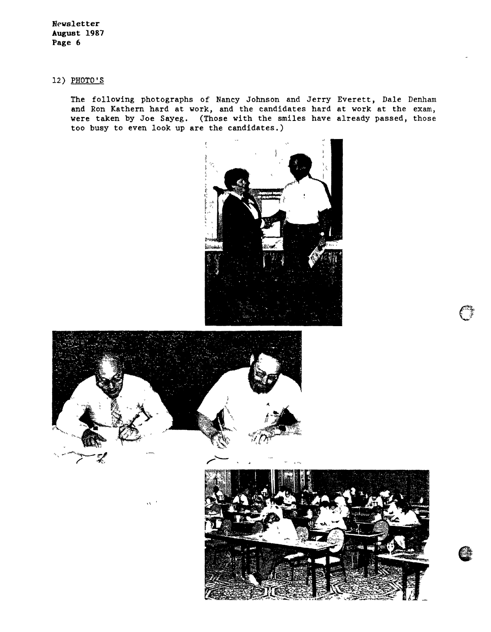**Newsletter August 1987 Page 6** 

12) PHOTO'S

The following photographs of Nancy Johnson and Jerry Everett, Dale Denham and Ron Kathern hard at work, and the candidates hard at work at the exam, were taken by Joe Sayeg. (Those with the smiles have already passed, those too busy to even look up are the candidates.)